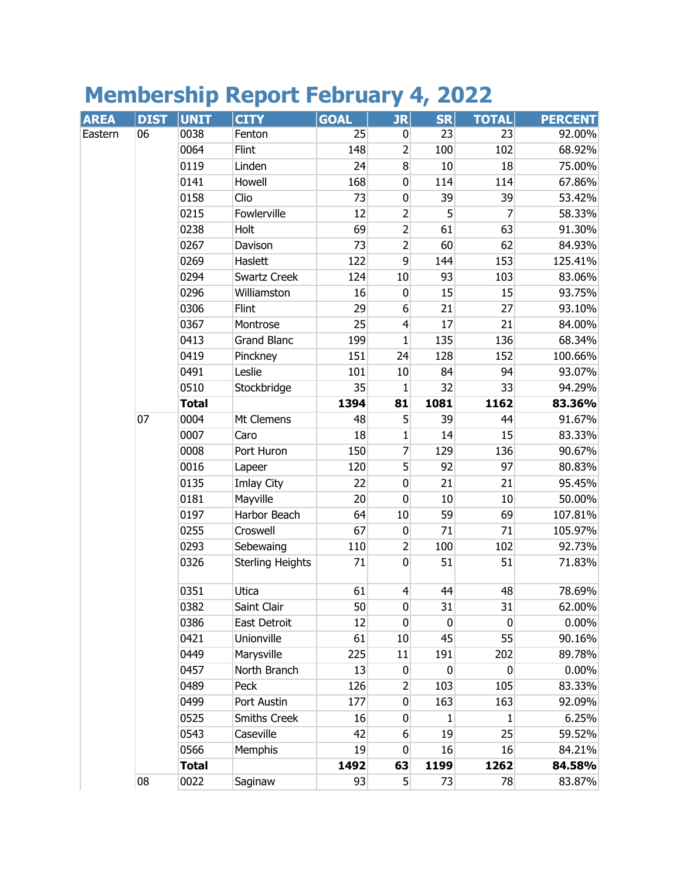## **Membership Report February 4, 2022**

| <b>AREA</b> | <b>DIST</b> | <b>UNIT</b>  | <b>CITY</b>             | <b>GOAL</b> | <b>JR</b>        | <b>SR</b>       | <b>TOTAL</b>    | <b>PERCENT</b> |
|-------------|-------------|--------------|-------------------------|-------------|------------------|-----------------|-----------------|----------------|
| Eastern     | 06          | 0038         | Fenton                  | 25          | $\pmb{0}$        | 23              | 23              | 92.00%         |
|             |             | 0064         | Flint                   | 148         | $\overline{2}$   | 100             | 102             | 68.92%         |
|             |             | 0119         | Linden                  | 24          | $\bf 8$          | 10              | 18              | 75.00%         |
|             |             | 0141         | Howell                  | 168         | $\mathbf 0$      | 114             | 114             | 67.86%         |
|             |             | 0158         | Clio                    | 73          | $\pmb{0}$        | 39              | 39              | 53.42%         |
|             |             | 0215         | Fowlerville             | 12          | $\overline{2}$   | 5               | $\overline{7}$  | 58.33%         |
|             |             | 0238         | Holt                    | 69          | $\overline{2}$   | 61              | 63              | 91.30%         |
|             |             | 0267         | Davison                 | 73          | $\overline{2}$   | 60              | 62              | 84.93%         |
|             |             | 0269         | Haslett                 | 122         | 9                | 144             | 153             | 125.41%        |
|             |             | 0294         | <b>Swartz Creek</b>     | 124         | 10               | 93              | 103             | 83.06%         |
|             |             | 0296         | Williamston             | 16          | $\pmb{0}$        | 15              | 15              | 93.75%         |
|             |             | 0306         | Flint                   | 29          | 6                | 21              | 27              | 93.10%         |
|             |             | 0367         | Montrose                | 25          | $\overline{4}$   | 17              | 21              | 84.00%         |
|             |             | 0413         | <b>Grand Blanc</b>      | 199         | $\mathbf 1$      | 135             | 136             | 68.34%         |
|             |             | 0419         | Pinckney                | 151         | 24               | 128             | 152             | 100.66%        |
|             |             | 0491         | Leslie                  | 101         | 10               | 84              | 94              | 93.07%         |
|             |             | 0510         | Stockbridge             | 35          | 1                | 32              | 33              | 94.29%         |
|             |             | <b>Total</b> |                         | 1394        | 81               | 1081            | 1162            | 83.36%         |
|             | 07          | 0004         | Mt Clemens              | 48          | 5                | 39              | 44              | 91.67%         |
|             |             | 0007         | Caro                    | 18          | 1                | 14              | 15              | 83.33%         |
|             |             | 0008         | Port Huron              | 150         | $\overline{7}$   | 129             | 136             | 90.67%         |
|             |             | 0016         | Lapeer                  | 120         | 5                | 92              | 97              | 80.83%         |
|             |             | 0135         | Imlay City              | 22          | $\pmb{0}$        | 21              | 21              | 95.45%         |
|             |             | 0181         | Mayville                | 20          | $\boldsymbol{0}$ | 10              | 10              | 50.00%         |
|             |             | 0197         | Harbor Beach            | 64          | 10               | 59              | 69              | 107.81%        |
|             |             | 0255         | Croswell                | 67          | 0                | 71              | 71              | 105.97%        |
|             |             | 0293         | Sebewaing               | 110         | $\overline{2}$   | 100             | 102             | 92.73%         |
|             |             | 0326         | <b>Sterling Heights</b> | 71          | $\boldsymbol{0}$ | 51              | 51              | 71.83%         |
|             |             | 0351         | Utica                   | 61          | 4                | 44              | 48              | 78.69%         |
|             |             | 0382         | Saint Clair             | 50          | $\pmb{0}$        | $\overline{31}$ | $\overline{31}$ | 62.00%         |
|             |             | 0386         | East Detroit            | 12          | 0                | $\Omega$        | 0               | $0.00\%$       |
|             |             | 0421         | Unionville              | 61          | 10               | 45              | 55              | 90.16%         |
|             |             | 0449         | Marysville              | 225         | 11               | 191             | 202             | 89.78%         |
|             |             | 0457         | North Branch            | 13          | 0                | 0               | 0               | $0.00\%$       |
|             |             | 0489         | Peck                    | 126         | $\overline{2}$   | 103             | 105             | 83.33%         |
|             |             | 0499         | Port Austin             | 177         | 0                | 163             | 163             | 92.09%         |
|             |             | 0525         | <b>Smiths Creek</b>     | 16          | 0                | 1               | 1               | 6.25%          |
|             |             | 0543         | Caseville               | 42          | 6                | 19              | 25              | 59.52%         |
|             |             | 0566         | Memphis                 | 19          | 0                | 16              | 16              | 84.21%         |
|             |             | <b>Total</b> |                         | 1492        | 63               | 1199            | 1262            | 84.58%         |
|             | 08          | 0022         | Saginaw                 | 93          | 5                | 73              | 78              | 83.87%         |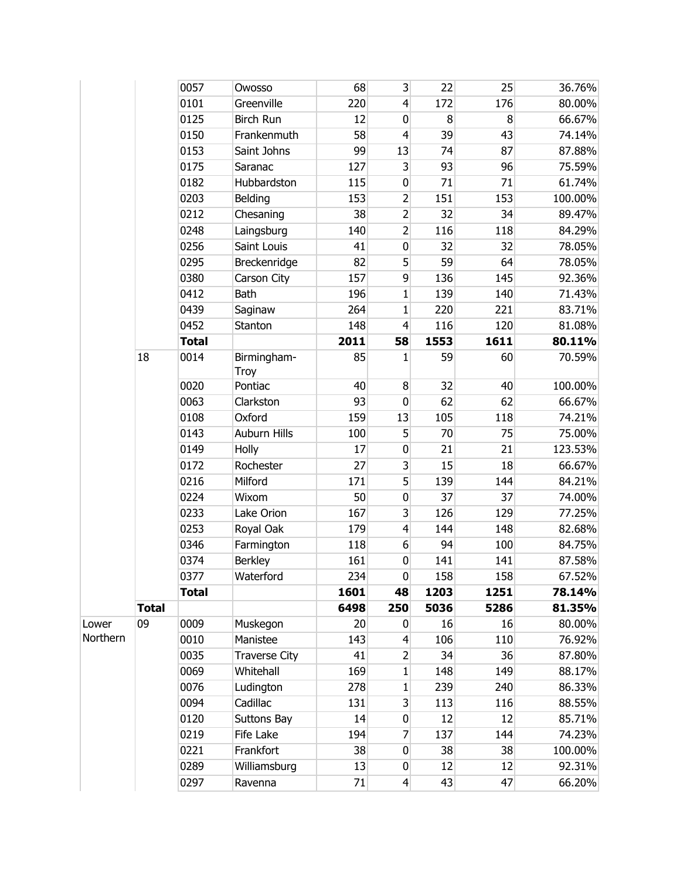|          |              | 0057         | Owosso                     | 68   | 3                       | 22   | 25   | 36.76%  |
|----------|--------------|--------------|----------------------------|------|-------------------------|------|------|---------|
|          |              | 0101         | Greenville                 | 220  | $\overline{4}$          | 172  | 176  | 80.00%  |
|          |              | 0125         | <b>Birch Run</b>           | 12   | 0                       | 8    | 8    | 66.67%  |
|          |              | 0150         | Frankenmuth                | 58   | $\overline{4}$          | 39   | 43   | 74.14%  |
|          |              | 0153         | Saint Johns                | 99   | 13                      | 74   | 87   | 87.88%  |
|          |              | 0175         | Saranac                    | 127  | 3                       | 93   | 96   | 75.59%  |
|          |              | 0182         | Hubbardston                | 115  | 0                       | 71   | 71   | 61.74%  |
|          |              | 0203         | Belding                    | 153  |                         | 151  | 153  | 100.00% |
|          |              | 0212         | Chesaning                  | 38   | $\overline{2}$          | 32   | 34   | 89.47%  |
|          |              | 0248         | Laingsburg                 | 140  | $\overline{2}$          | 116  | 118  | 84.29%  |
|          |              | 0256         | Saint Louis                | 41   | 0                       | 32   | 32   | 78.05%  |
|          |              | 0295         | Breckenridge               | 82   | 5                       | 59   | 64   | 78.05%  |
|          |              | 0380         | Carson City                | 157  | 9                       | 136  | 145  | 92.36%  |
|          |              | 0412         | Bath                       | 196  | $\mathbf{1}$            | 139  | 140  | 71.43%  |
|          |              | 0439         | Saginaw                    | 264  | $\mathbf{1}$            | 220  | 221  | 83.71%  |
|          |              | 0452         | Stanton                    | 148  | $\overline{4}$          | 116  | 120  | 81.08%  |
|          |              | <b>Total</b> |                            | 2011 | 58                      | 1553 | 1611 | 80.11%  |
|          | 18           | 0014         | Birmingham-<br><b>Troy</b> | 85   | 1                       | 59   | 60   | 70.59%  |
|          |              | 0020         | Pontiac                    | 40   | 8                       | 32   | 40   | 100.00% |
|          |              | 0063         | Clarkston                  | 93   | 0                       | 62   | 62   | 66.67%  |
|          |              | 0108         | Oxford                     | 159  | 13                      | 105  | 118  | 74.21%  |
|          |              | 0143         | Auburn Hills               | 100  | 5                       | 70   | 75   | 75.00%  |
|          |              | 0149         | Holly                      | 17   | 0                       | 21   | 21   | 123.53% |
|          |              | 0172         | Rochester                  | 27   | $\overline{\mathbf{3}}$ | 15   | 18   | 66.67%  |
|          |              | 0216         | Milford                    | 171  | 5                       | 139  | 144  | 84.21%  |
|          |              | 0224         | Wixom                      | 50   | $\pmb{0}$               | 37   | 37   | 74.00%  |
|          |              | 0233         | Lake Orion                 | 167  | $\overline{\mathbf{3}}$ | 126  | 129  | 77.25%  |
|          |              | 0253         | Royal Oak                  | 179  | $\overline{4}$          | 144  | 148  | 82.68%  |
|          |              | 0346         | Farmington                 | 118  | 6                       | 94   | 100  | 84.75%  |
|          |              | 0374         | <b>Berkley</b>             | 161  | 0                       | 141  | 141  | 87.58%  |
|          |              | 0377         | Waterford                  | 234  | $\pmb{0}$               | 158  | 158  | 67.52%  |
|          |              | <b>Total</b> |                            | 1601 | 48                      | 1203 | 1251 | 78.14%  |
|          | <b>Total</b> |              |                            | 6498 | 250                     | 5036 | 5286 | 81.35%  |
| Lower    | 09           | 0009         | Muskegon                   | 20   | 0                       | 16   | 16   | 80.00%  |
| Northern |              | 0010         | Manistee                   | 143  | 4                       | 106  | 110  | 76.92%  |
|          |              | 0035         | <b>Traverse City</b>       | 41   | 2                       | 34   | 36   | 87.80%  |
|          |              | 0069         | Whitehall                  | 169  | 1                       | 148  | 149  | 88.17%  |
|          |              | 0076         | Ludington                  | 278  | 1                       | 239  | 240  | 86.33%  |
|          |              | 0094         | Cadillac                   | 131  | $\overline{\mathbf{3}}$ | 113  | 116  | 88.55%  |
|          |              | 0120         | Suttons Bay                | 14   | 0                       | 12   | 12   | 85.71%  |
|          |              | 0219         | Fife Lake                  | 194  | 7                       | 137  | 144  | 74.23%  |
|          |              | 0221         | Frankfort                  | 38   | 0                       | 38   | 38   | 100.00% |
|          |              | 0289         | Williamsburg               | 13   | 0                       | 12   | 12   | 92.31%  |
|          |              | 0297         | Ravenna                    | 71   | $\overline{4}$          | 43   | 47   | 66.20%  |
|          |              |              |                            |      |                         |      |      |         |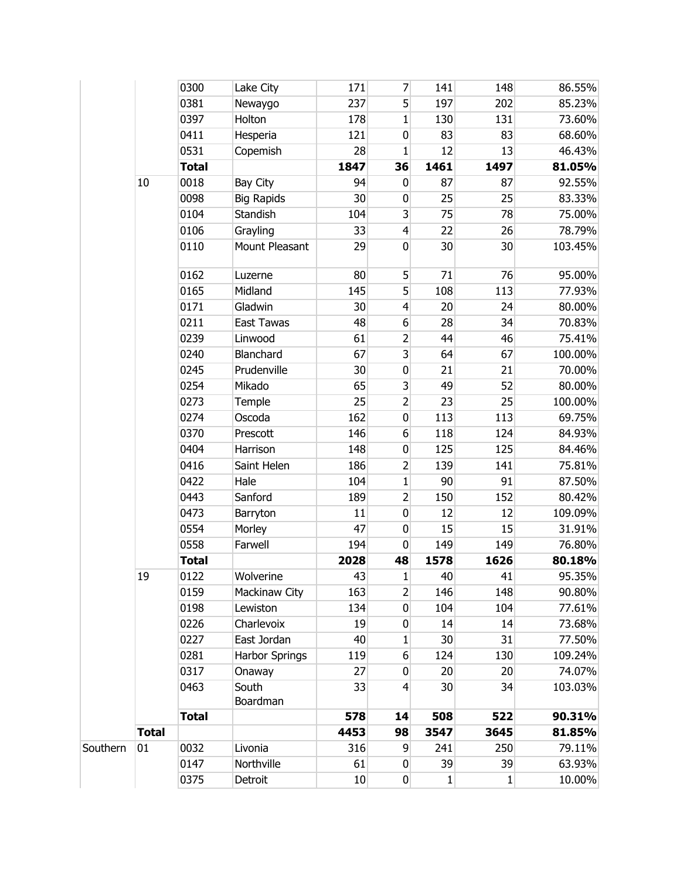|          |              | 0300         | Lake City             | 171  | 7                       | 141             | 148  | 86.55%  |
|----------|--------------|--------------|-----------------------|------|-------------------------|-----------------|------|---------|
|          |              | 0381         | Newaygo               | 237  | 5                       | 197             | 202  | 85.23%  |
|          |              | 0397         | Holton                | 178  | 1                       | 130             | 131  | 73.60%  |
|          |              | 0411         | Hesperia              | 121  | $\pmb{0}$               | 83              | 83   | 68.60%  |
|          |              | 0531         | Copemish              | 28   | $\mathbf{1}$            | 12              | 13   | 46.43%  |
|          |              | <b>Total</b> |                       | 1847 | 36                      | 1461            | 1497 | 81.05%  |
|          | 10           | 0018         | Bay City              | 94   | 0                       | 87              | 87   | 92.55%  |
|          |              | 0098         | <b>Big Rapids</b>     | 30   | $\pmb{0}$               | 25              | 25   | 83.33%  |
|          |              | 0104         | Standish              | 104  | $\overline{\mathbf{3}}$ | 75              | 78   | 75.00%  |
|          |              | 0106         | Grayling              | 33   | 4                       | 22              | 26   | 78.79%  |
|          |              | 0110         | Mount Pleasant        | 29   | 0                       | 30              | 30   | 103.45% |
|          |              | 0162         | Luzerne               | 80   | 5                       | 71              | 76   | 95.00%  |
|          |              | 0165         | Midland               | 145  | 5                       | 108             | 113  | 77.93%  |
|          |              | 0171         | Gladwin               | 30   | 4                       | 20              | 24   | 80.00%  |
|          |              | 0211         | East Tawas            | 48   | 6                       | 28              | 34   | 70.83%  |
|          |              | 0239         | Linwood               | 61   | $\overline{2}$          | 44              | 46   | 75.41%  |
|          |              | 0240         | Blanchard             | 67   | $\overline{\mathbf{3}}$ | 64              | 67   | 100.00% |
|          |              | 0245         | Prudenville           | 30   | 0                       | 21              | 21   | 70.00%  |
|          |              | 0254         | Mikado                | 65   | $\overline{\mathbf{3}}$ | 49              | 52   | 80.00%  |
|          |              | 0273         | Temple                | 25   | $\overline{2}$          | 23              | 25   | 100.00% |
|          |              | 0274         | Oscoda                | 162  | $\pmb{0}$               | 113             | 113  | 69.75%  |
|          |              | 0370         | Prescott              | 146  | 6                       | 118             | 124  | 84.93%  |
|          |              | 0404         | Harrison              | 148  | 0                       | 125             | 125  | 84.46%  |
|          |              | 0416         | Saint Helen           | 186  | $\overline{2}$          | 139             | 141  | 75.81%  |
|          |              | 0422         | Hale                  | 104  | $\mathbf{1}$            | 90              | 91   | 87.50%  |
|          |              | 0443         | Sanford               | 189  | $\overline{2}$          | 150             | 152  | 80.42%  |
|          |              | 0473         | Barryton              | 11   | 0                       | 12              | 12   | 109.09% |
|          |              | 0554         | Morley                | 47   | 0                       | 15              | 15   | 31.91%  |
|          |              | 0558         | Farwell               | 194  | $\pmb{0}$               | 149             | 149  | 76.80%  |
|          |              | <b>Total</b> |                       | 2028 | 48                      | 1578            | 1626 | 80.18%  |
|          | 19           | 0122         | Wolverine             | 43   | $\mathbf 1$             | 40              | 41   | 95.35%  |
|          |              | 0159         | Mackinaw City         | 163  | $\overline{2}$          | 146             | 148  | 90.80%  |
|          |              | 0198         | Lewiston              | 134  | 0                       | 104             | 104  | 77.61%  |
|          |              | 0226         | Charlevoix            | 19   | 0                       | 14              | 14   | 73.68%  |
|          |              | 0227         | East Jordan           | 40   | 1                       | 30 <sup>°</sup> | 31   | 77.50%  |
|          |              | 0281         | <b>Harbor Springs</b> | 119  | 6                       | 124             | 130  | 109.24% |
|          |              | 0317         | Onaway                | 27   | 0                       | 20              | 20   | 74.07%  |
|          |              | 0463         | South<br>Boardman     | 33   | 4                       | 30              | 34   | 103.03% |
|          |              | <b>Total</b> |                       | 578  | 14                      | 508             | 522  | 90.31%  |
|          | <b>Total</b> |              |                       | 4453 | 98                      | 3547            | 3645 | 81.85%  |
| Southern | 01           | 0032         | Livonia               | 316  | 9                       | 241             | 250  | 79.11%  |
|          |              | 0147         | Northville            | 61   | 0                       | 39              | 39   | 63.93%  |
|          |              | 0375         | Detroit               | 10   | 0                       | 1               | 1    | 10.00%  |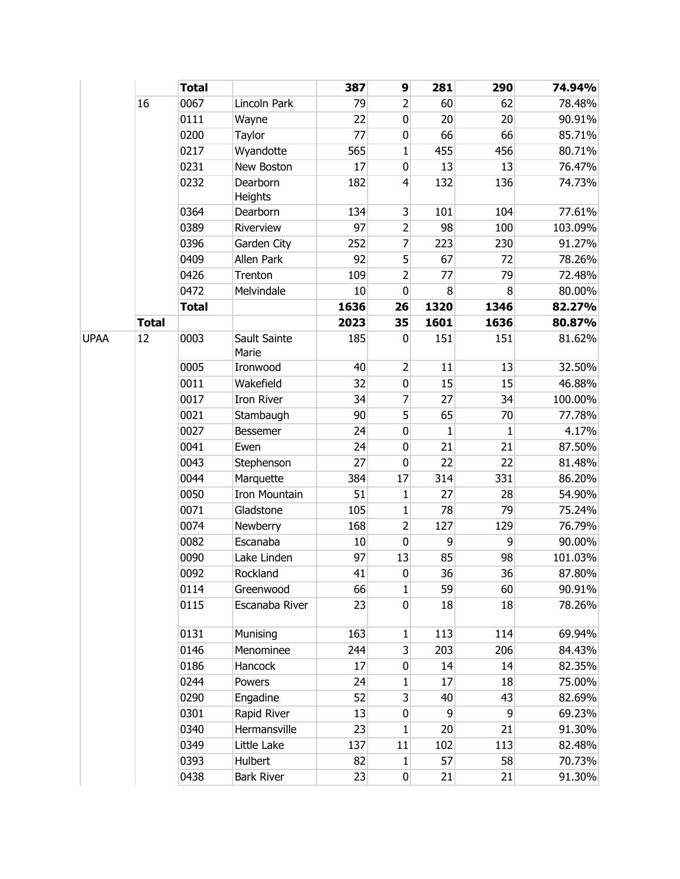|             |              | <b>Total</b> |                       | 387  | 9                       | 281            | 290          | 74.94%  |
|-------------|--------------|--------------|-----------------------|------|-------------------------|----------------|--------------|---------|
|             | 16           | 0067         | Lincoln Park          | 79   | $\overline{2}$          | 60             | 62           | 78.48%  |
|             |              | 0111         | Wayne                 | 22   | $\bf{0}$                | 20             | 20           | 90.91%  |
|             |              | 0200         | Taylor                | 77   | $\mathbf 0$             | 66             | 66           | 85.71%  |
|             |              | 0217         | Wyandotte             | 565  | $\mathbf 1$             | 455            | 456          | 80.71%  |
|             |              | 0231         | New Boston            | 17   | $\pmb{0}$               | 13             | 13           | 76.47%  |
|             |              | 0232         | Dearborn<br>Heights   | 182  | $\overline{4}$          | 132            | 136          | 74.73%  |
|             |              | 0364         | Dearborn              | 134  | $\mathsf 3$             | 101            | 104          | 77.61%  |
|             |              | 0389         | Riverview             | 97   | $\mathbf 2$             | 98             | 100          | 103.09% |
|             |              | 0396         | Garden City           | 252  | $\overline{7}$          | 223            | 230          | 91.27%  |
|             |              | 0409         | Allen Park            | 92   | 5                       | 67             | 72           | 78.26%  |
|             |              | 0426         | Trenton               | 109  | 2                       | 77             | 79           | 72.48%  |
|             |              | 0472         | Melvindale            | 10   | $\pmb{0}$               | 8              | 8            | 80.00%  |
|             |              | <b>Total</b> |                       | 1636 | 26                      | 1320           | 1346         | 82.27%  |
|             | <b>Total</b> |              |                       | 2023 | 35                      | 1601           | 1636         | 80.87%  |
| <b>UPAA</b> | 12           | 0003         | Sault Sainte<br>Marie | 185  | 0                       | 151            | 151          | 81.62%  |
|             |              | 0005         | Ironwood              | 40   | $\overline{2}$          | 11             | 13           | 32.50%  |
|             |              | 0011         | Wakefield             | 32   | $\pmb{0}$               | 15             | 15           | 46.88%  |
|             |              | 0017         | <b>Iron River</b>     | 34   | 7                       | 27             | 34           | 100.00% |
|             |              | 0021         | Stambaugh             | 90   | 5                       | 65             | 70           | 77.78%  |
|             |              | 0027         | Bessemer              | 24   | $\boldsymbol{0}$        | $\mathbf{1}$   | $\mathbf{1}$ | 4.17%   |
|             |              | 0041         | Ewen                  | 24   | $\mathbf 0$             | 21             | 21           | 87.50%  |
|             |              | 0043         | Stephenson            | 27   | 0                       | 22             | 22           | 81.48%  |
|             |              | 0044         | Marquette             | 384  | 17                      | 314            | 331          | 86.20%  |
|             |              | 0050         | Iron Mountain         | 51   | $\mathbf{1}$            | 27             | 28           | 54.90%  |
|             |              | 0071         | Gladstone             | 105  | $\mathbf 1$             | 78             | 79           | 75.24%  |
|             |              | 0074         | Newberry              | 168  | $\overline{2}$          | 127            | 129          | 76.79%  |
|             |              | 0082         | Escanaba              | 10   | $\mathbf 0$             | 9              | 9            | 90.00%  |
|             |              | 0090         | Lake Linden           | 97   | 13                      | 85             | 98           | 101.03% |
|             |              | 0092         | Rockland              | 41   | $\pmb{0}$               | 36             | 36           | 87.80%  |
|             |              | 0114         | Greenwood             | 66   | 1                       | 59             | 60           | 90.91%  |
|             |              | 0115         | Escanaba River        | 23   | $\pmb{0}$               | 18             | 18           | 78.26%  |
|             |              | 0131         | Munising              | 163  | $\mathbf{1}$            | 113            | 114          | 69.94%  |
|             |              | 0146         | Menominee             | 244  | 3                       | 203            | 206          | 84.43%  |
|             |              | 0186         | Hancock               | 17   | 0                       | 14             | 14           | 82.35%  |
|             |              | 0244         | Powers                | 24   | 1                       | 17             | 18           | 75.00%  |
|             |              | 0290         | Engadine              | 52   | $\overline{\mathbf{3}}$ | 40             | 43           | 82.69%  |
|             |              | 0301         | Rapid River           | 13   | 0                       | $\overline{9}$ | 9            | 69.23%  |
|             |              | 0340         | Hermansville          | 23   | 1                       | 20             | 21           | 91.30%  |
|             |              | 0349         | Little Lake           | 137  | 11                      | 102            | 113          | 82.48%  |
|             |              | 0393         | Hulbert               | 82   | $\mathbf{1}$            | 57             | 58           | 70.73%  |
|             |              | 0438         | <b>Bark River</b>     | 23   | $\pmb{0}$               | 21             | 21           | 91.30%  |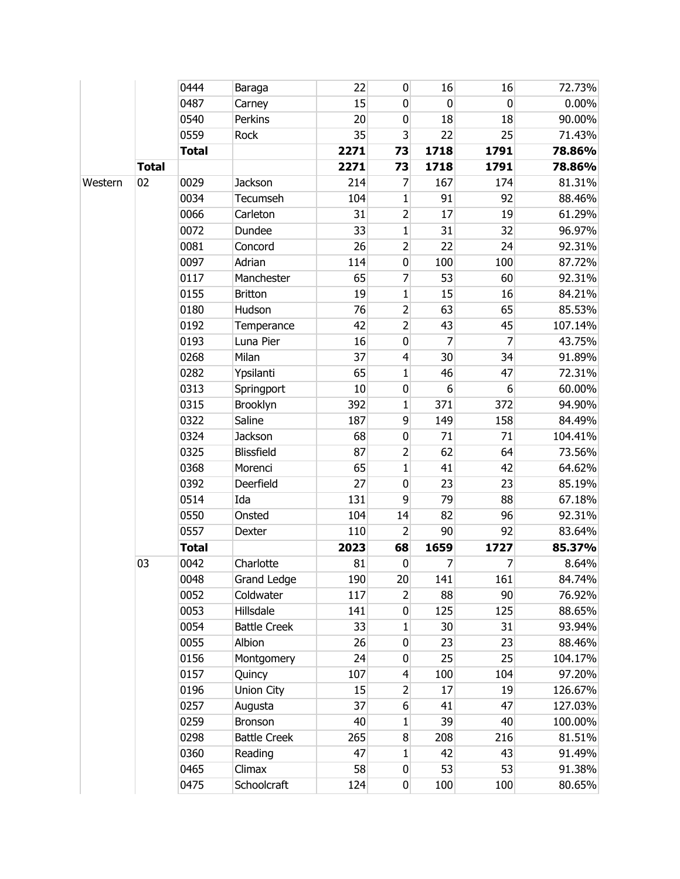|         |              | 0444         | Baraga              | 22   | 0              | 16          | 16             | 72.73%   |
|---------|--------------|--------------|---------------------|------|----------------|-------------|----------------|----------|
|         |              | 0487         | Carney              | 15   | 0              | $\mathbf 0$ | $\mathbf 0$    | $0.00\%$ |
|         |              | 0540         | Perkins             | 20   | 0              | 18          | 18             | 90.00%   |
|         |              | 0559         | Rock                | 35   | 3              | 22          | 25             | 71.43%   |
|         |              | <b>Total</b> |                     | 2271 | 73             | 1718        | 1791           | 78.86%   |
|         | <b>Total</b> |              |                     | 2271 | 73             | 1718        | 1791           | 78.86%   |
| Western | 02           | 0029         | Jackson             | 214  | 7              | 167         | 174            | 81.31%   |
|         |              | 0034         | Tecumseh            | 104  | $\mathbf{1}$   | 91          | 92             | 88.46%   |
|         |              | 0066         | Carleton            | 31   | $\overline{2}$ | 17          | 19             | 61.29%   |
|         |              | 0072         | Dundee              | 33   | $\mathbf{1}$   | 31          | 32             | 96.97%   |
|         |              | 0081         | Concord             | 26   | $\overline{2}$ | 22          | 24             | 92.31%   |
|         |              | 0097         | Adrian              | 114  | 0              | 100         | 100            | 87.72%   |
|         |              | 0117         | Manchester          | 65   | $\overline{7}$ | 53          | 60             | 92.31%   |
|         |              | 0155         | <b>Britton</b>      | 19   | $\mathbf{1}$   | 15          | 16             | 84.21%   |
|         |              | 0180         | Hudson              | 76   | $\overline{2}$ | 63          | 65             | 85.53%   |
|         |              | 0192         | Temperance          | 42   | $\overline{2}$ | 43          | 45             | 107.14%  |
|         |              | 0193         | Luna Pier           | 16   | 0              | 7           | $\overline{7}$ | 43.75%   |
|         |              | 0268         | Milan               | 37   | $\overline{4}$ | 30          | 34             | 91.89%   |
|         |              | 0282         | Ypsilanti           | 65   | $\mathbf 1$    | 46          | 47             | 72.31%   |
|         |              | 0313         | Springport          | 10   | 0              | 6           | 6              | 60.00%   |
|         |              | 0315         | Brooklyn            | 392  | $\mathbf{1}$   | 371         | 372            | 94.90%   |
|         |              | 0322         | Saline              | 187  | 9              | 149         | 158            | 84.49%   |
|         |              | 0324         | Jackson             | 68   | 0              | 71          | 71             | 104.41%  |
|         |              | 0325         | Blissfield          | 87   | $\overline{2}$ | 62          | 64             | 73.56%   |
|         |              | 0368         | Morenci             | 65   | $\mathbf{1}$   | 41          | 42             | 64.62%   |
|         |              | 0392         | Deerfield           | 27   | $\pmb{0}$      | 23          | 23             | 85.19%   |
|         |              | 0514         | Ida                 | 131  | 9              | 79          | 88             | 67.18%   |
|         |              | 0550         | Onsted              | 104  | 14             | 82          | 96             | 92.31%   |
|         |              | 0557         | Dexter              | 110  | $\overline{2}$ | 90          | 92             | 83.64%   |
|         |              | <b>Total</b> |                     | 2023 | 68             | 1659        | 1727           | 85.37%   |
|         | 03           | 0042         | Charlotte           | 81   | 0              | 7           | 7              | 8.64%    |
|         |              | 0048         | Grand Ledge         | 190  | 20             | 141         | 161            | 84.74%   |
|         |              | 0052         | Coldwater           | 117  | $\overline{2}$ | 88          | 90             | 76.92%   |
|         |              | 0053         | Hillsdale           | 141  | 0              | 125         | 125            | 88.65%   |
|         |              | 0054         | <b>Battle Creek</b> | 33   | 1              | 30          | 31             | 93.94%   |
|         |              | 0055         | Albion              | 26   | 0              | 23          | 23             | 88.46%   |
|         |              | 0156         | Montgomery          | 24   | 0              | 25          | 25             | 104.17%  |
|         |              | 0157         | Quincy              | 107  | 4              | 100         | 104            | 97.20%   |
|         |              | 0196         | Union City          | 15   | $\overline{2}$ | 17          | 19             | 126.67%  |
|         |              | 0257         | Augusta             | 37   | 6              | 41          | 47             | 127.03%  |
|         |              | 0259         | Bronson             | 40   | 1              | 39          | 40             | 100.00%  |
|         |              | 0298         | <b>Battle Creek</b> | 265  | 8              | 208         | 216            | 81.51%   |
|         |              | 0360         | Reading             | 47   | 1              | 42          | 43             | 91.49%   |
|         |              | 0465         | Climax              | 58   | 0              | 53          | 53             | 91.38%   |
|         |              | 0475         | Schoolcraft         | 124  | $\pmb{0}$      | 100         | 100            | 80.65%   |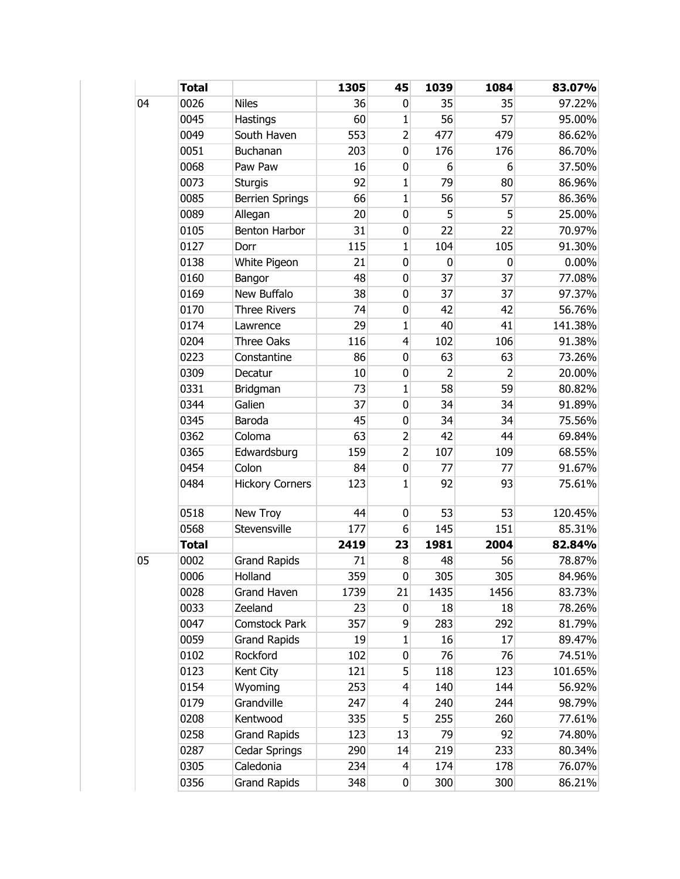|    | <b>Total</b> |                        | 1305 | 45             | 1039        | 1084           | 83.07%   |
|----|--------------|------------------------|------|----------------|-------------|----------------|----------|
| 04 | 0026         | <b>Niles</b>           | 36   | 0              | 35          | 35             | 97.22%   |
|    | 0045         | Hastings               | 60   | $\mathbf{1}$   | 56          | 57             | 95.00%   |
|    | 0049         | South Haven            | 553  | $\overline{2}$ | 477         | 479            | 86.62%   |
|    | 0051         | Buchanan               | 203  | $\mathbf 0$    | 176         | 176            | 86.70%   |
|    | 0068         | Paw Paw                | 16   | 0              | 6           | 6              | 37.50%   |
|    | 0073         | <b>Sturgis</b>         | 92   | 1              | 79          | 80             | 86.96%   |
|    | 0085         | <b>Berrien Springs</b> | 66   | $\mathbf 1$    | 56          | 57             | 86.36%   |
|    | 0089         | Allegan                | 20   | $\mathbf 0$    | 5           | 5              | 25.00%   |
|    | 0105         | Benton Harbor          | 31   | $\mathbf 0$    | 22          | 22             | 70.97%   |
|    | 0127         | Dorr                   | 115  | $\mathbf{1}$   | 104         | 105            | 91.30%   |
|    | 0138         | White Pigeon           | 21   | $\mathbf 0$    | $\mathbf 0$ | $\mathbf 0$    | $0.00\%$ |
|    | 0160         | Bangor                 | 48   | $\mathbf 0$    | 37          | 37             | 77.08%   |
|    | 0169         | New Buffalo            | 38   | $\mathbf 0$    | 37          | 37             | 97.37%   |
|    | 0170         | <b>Three Rivers</b>    | 74   | $\mathbf 0$    | 42          | 42             | 56.76%   |
|    | 0174         | Lawrence               | 29   | $\mathbf{1}$   | 40          | 41             | 141.38%  |
|    | 0204         | Three Oaks             | 116  | $\overline{4}$ | 102         | 106            | 91.38%   |
|    | 0223         | Constantine            | 86   | 0              | 63          | 63             | 73.26%   |
|    | 0309         | Decatur                | 10   | 0              | 2           | $\overline{2}$ | 20.00%   |
|    | 0331         | Bridgman               | 73   | $\mathbf 1$    | 58          | 59             | 80.82%   |
|    | 0344         | Galien                 | 37   | $\mathbf 0$    | 34          | 34             | 91.89%   |
|    | 0345         | Baroda                 | 45   | $\mathbf 0$    | 34          | 34             | 75.56%   |
|    | 0362         | Coloma                 | 63   | 2              | 42          | 44             | 69.84%   |
|    | 0365         | Edwardsburg            | 159  | $\overline{2}$ | 107         | 109            | 68.55%   |
|    | 0454         | Colon                  | 84   | 0              | 77          | 77             | 91.67%   |
|    | 0484         | <b>Hickory Corners</b> | 123  | $\mathbf{1}$   | 92          | 93             | 75.61%   |
|    | 0518         | New Troy               | 44   | 0              | 53          | 53             | 120.45%  |
|    | 0568         | Stevensville           | 177  | 6              | 145         | 151            | 85.31%   |
|    | <b>Total</b> |                        | 2419 | 23             | 1981        | 2004           | 82.84%   |
| 05 | 0002         | <b>Grand Rapids</b>    | 71   | 8              | 48          | 56             | 78.87%   |
|    | 0006         | Holland                | 359  | 0              | 305         | 305            | 84.96%   |
|    | 0028         | <b>Grand Haven</b>     | 1739 | 21             | 1435        | 1456           | 83.73%   |
|    | 0033         | Zeeland                | 23   | 0              | 18          | 18             | 78.26%   |
|    | 0047         | Comstock Park          | 357  | 9              | 283         | 292            | 81.79%   |
|    | 0059         | <b>Grand Rapids</b>    | 19   | 1              | 16          | 17             | 89.47%   |
|    | 0102         | Rockford               | 102  | 0              | 76          | 76             | 74.51%   |
|    | 0123         | Kent City              | 121  | 5              | 118         | 123            | 101.65%  |
|    | 0154         | Wyoming                | 253  | $\overline{4}$ | 140         | 144            | 56.92%   |
|    | 0179         | Grandville             | 247  | $\overline{4}$ | 240         | 244            | 98.79%   |
|    | 0208         | Kentwood               | 335  | 5              | 255         | 260            | 77.61%   |
|    | 0258         | <b>Grand Rapids</b>    | 123  | 13             | 79          | 92             | 74.80%   |
|    | 0287         | Cedar Springs          | 290  | 14             | 219         | 233            | 80.34%   |
|    | 0305         | Caledonia              | 234  | 4              | 174         | 178            | 76.07%   |
|    | 0356         | <b>Grand Rapids</b>    | 348  | 0              | 300         | 300            | 86.21%   |